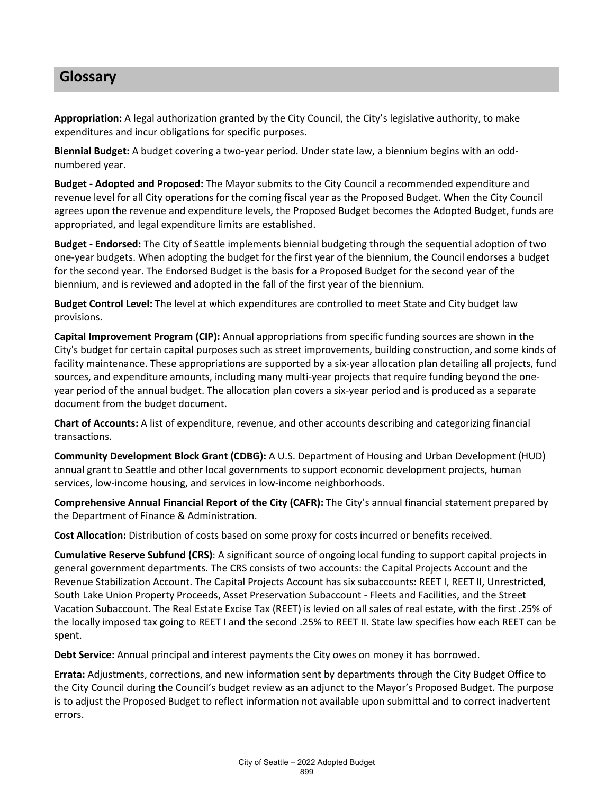## **Glossary**

**Appropriation:** A legal authorization granted by the City Council, the City's legislative authority, to make expenditures and incur obligations for specific purposes.

**Biennial Budget:** A budget covering a two-year period. Under state law, a biennium begins with an oddnumbered year.

**Budget - Adopted and Proposed:** The Mayor submits to the City Council a recommended expenditure and revenue level for all City operations for the coming fiscal year as the Proposed Budget. When the City Council agrees upon the revenue and expenditure levels, the Proposed Budget becomes the Adopted Budget, funds are appropriated, and legal expenditure limits are established.

**Budget - Endorsed:** The City of Seattle implements biennial budgeting through the sequential adoption of two one-year budgets. When adopting the budget for the first year of the biennium, the Council endorses a budget for the second year. The Endorsed Budget is the basis for a Proposed Budget for the second year of the biennium, and is reviewed and adopted in the fall of the first year of the biennium.

**Budget Control Level:** The level at which expenditures are controlled to meet State and City budget law provisions.

**Capital Improvement Program (CIP):** Annual appropriations from specific funding sources are shown in the City's budget for certain capital purposes such as street improvements, building construction, and some kinds of facility maintenance. These appropriations are supported by a six-year allocation plan detailing all projects, fund sources, and expenditure amounts, including many multi-year projects that require funding beyond the oneyear period of the annual budget. The allocation plan covers a six-year period and is produced as a separate document from the budget document.

**Chart of Accounts:** A list of expenditure, revenue, and other accounts describing and categorizing financial transactions.

**Community Development Block Grant (CDBG):** A U.S. Department of Housing and Urban Development (HUD) annual grant to Seattle and other local governments to support economic development projects, human services, low-income housing, and services in low-income neighborhoods.

**Comprehensive Annual Financial Report of the City (CAFR):** The City's annual financial statement prepared by the Department of Finance & Administration.

**Cost Allocation:** Distribution of costs based on some proxy for costs incurred or benefits received.

**Cumulative Reserve Subfund (CRS)**: A significant source of ongoing local funding to support capital projects in general government departments. The CRS consists of two accounts: the Capital Projects Account and the Revenue Stabilization Account. The Capital Projects Account has six subaccounts: REET I, REET II, Unrestricted, South Lake Union Property Proceeds, Asset Preservation Subaccount - Fleets and Facilities, and the Street Vacation Subaccount. The Real Estate Excise Tax (REET) is levied on all sales of real estate, with the first .25% of the locally imposed tax going to REET I and the second .25% to REET II. State law specifies how each REET can be spent.

**Debt Service:** Annual principal and interest payments the City owes on money it has borrowed.

**Errata:** Adjustments, corrections, and new information sent by departments through the City Budget Office to the City Council during the Council's budget review as an adjunct to the Mayor's Proposed Budget. The purpose is to adjust the Proposed Budget to reflect information not available upon submittal and to correct inadvertent errors.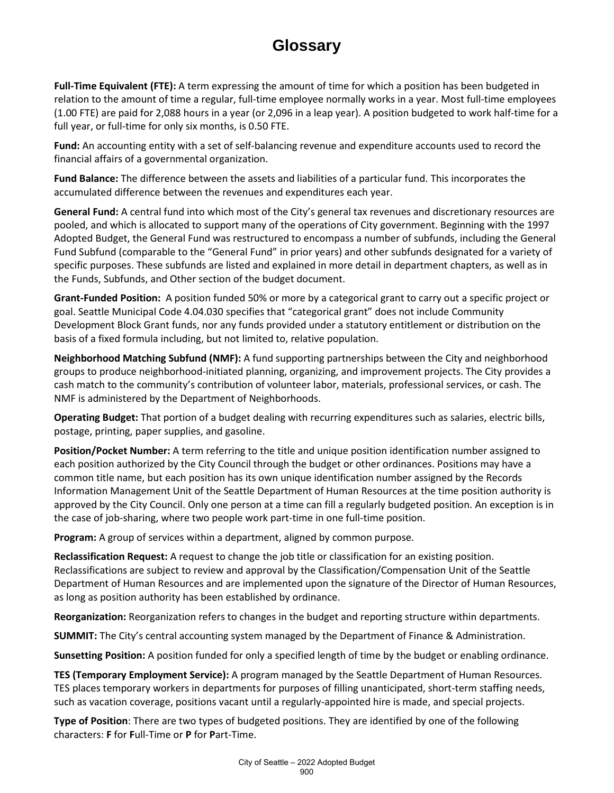## **Glossary**

**Full-Time Equivalent (FTE):** A term expressing the amount of time for which a position has been budgeted in relation to the amount of time a regular, full-time employee normally works in a year. Most full-time employees (1.00 FTE) are paid for 2,088 hours in a year (or 2,096 in a leap year). A position budgeted to work half-time for a full year, or full-time for only six months, is 0.50 FTE.

**Fund:** An accounting entity with a set of self-balancing revenue and expenditure accounts used to record the financial affairs of a governmental organization.

**Fund Balance:** The difference between the assets and liabilities of a particular fund. This incorporates the accumulated difference between the revenues and expenditures each year.

**General Fund:** A central fund into which most of the City's general tax revenues and discretionary resources are pooled, and which is allocated to support many of the operations of City government. Beginning with the 1997 Adopted Budget, the General Fund was restructured to encompass a number of subfunds, including the General Fund Subfund (comparable to the "General Fund" in prior years) and other subfunds designated for a variety of specific purposes. These subfunds are listed and explained in more detail in department chapters, as well as in the Funds, Subfunds, and Other section of the budget document.

**Grant-Funded Position:** A position funded 50% or more by a categorical grant to carry out a specific project or goal. Seattle Municipal Code 4.04.030 specifies that "categorical grant" does not include Community Development Block Grant funds, nor any funds provided under a statutory entitlement or distribution on the basis of a fixed formula including, but not limited to, relative population.

**Neighborhood Matching Subfund (NMF):** A fund supporting partnerships between the City and neighborhood groups to produce neighborhood-initiated planning, organizing, and improvement projects. The City provides a cash match to the community's contribution of volunteer labor, materials, professional services, or cash. The NMF is administered by the Department of Neighborhoods.

**Operating Budget:** That portion of a budget dealing with recurring expenditures such as salaries, electric bills, postage, printing, paper supplies, and gasoline.

**Position/Pocket Number:** A term referring to the title and unique position identification number assigned to each position authorized by the City Council through the budget or other ordinances. Positions may have a common title name, but each position has its own unique identification number assigned by the Records Information Management Unit of the Seattle Department of Human Resources at the time position authority is approved by the City Council. Only one person at a time can fill a regularly budgeted position. An exception is in the case of job-sharing, where two people work part-time in one full-time position.

**Program:** A group of services within a department, aligned by common purpose.

**Reclassification Request:** A request to change the job title or classification for an existing position. Reclassifications are subject to review and approval by the Classification/Compensation Unit of the Seattle Department of Human Resources and are implemented upon the signature of the Director of Human Resources, as long as position authority has been established by ordinance.

**Reorganization:** Reorganization refers to changes in the budget and reporting structure within departments.

**SUMMIT:** The City's central accounting system managed by the Department of Finance & Administration.

**Sunsetting Position:** A position funded for only a specified length of time by the budget or enabling ordinance.

**TES (Temporary Employment Service):** A program managed by the Seattle Department of Human Resources. TES places temporary workers in departments for purposes of filling unanticipated, short-term staffing needs, such as vacation coverage, positions vacant until a regularly-appointed hire is made, and special projects.

**Type of Position**: There are two types of budgeted positions. They are identified by one of the following characters: **F** for **F**ull-Time or **P** for **P**art-Time.